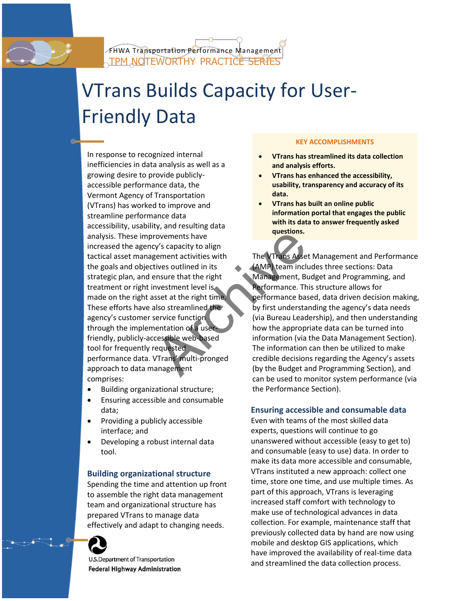# VTrans Builds Capacity for User-Friendly Data

In response to recognized internal inefficiencies in data analysis as well as a growing desire to provide publiclyaccessible performance data, the Vermont Agency of Transportation (VTrans) has worked to improve and streamline performance data accessibility, usability, and resulting data analysis. These improvements have increased the agency's capacity to align tactical asset management activities with the goals and objectives outlined in its strategic plan, and ensure that the right treatment or right investment level is made on the right asset at the right time. These efforts have also streamlined the agency's customer service function through the implementation of a userfriendly, publicly-accessible web-based tool for frequently requested performance data. VTrans' multi-pronged approach to data management comprises: France Contained the Urrangement<br>
Expressions and the Urrangement activities with<br>
tives outlined in its<br>
ensure that the right<br>
museum level is<br>
set at the right time.<br>
Since the right time.<br>
Since the right<br>
service func

- Building organizational structure;
- Ensuring accessible and consumable data;
- Providing a publicly accessible interface; and
- Developing a robust internal data tool.

## **Building organizational structure**

Spending the time and attention up front to assemble the right data management team and organizational structure has prepared VTrans to manage data effectively and adapt to changing needs.



U.S.Department of Transportation **Federal Highway Administration** 

#### **KEY ACCOMPLISHMENTS**

- **VTrans has streamlined its data collection and analysis efforts.**
- **VTrans has enhanced the accessibility, usability, transparency and accuracy of its data.**
- **VTrans has built an online public information portal that engages the public with its data to answer frequently asked questions.**

The VTrans Asset Management and Performance (AMP) team includes three sections: Data Management, Budget and Programming, and Performance. This structure allows for performance based, data driven decision making, by first understanding the agency's data needs (via Bureau Leadership), and then understanding how the appropriate data can be turned into information (via the Data Management Section). The information can then be utilized to make credible decisions regarding the Agency's assets (by the Budget and Programming Section), and can be used to monitor system performance (via the Performance Section).

# **Ensuring accessible and consumable data**

Even with teams of the most skilled data experts, questions will continue to go unanswered without accessible (easy to get to) and consumable (easy to use) data. In order to make its data more accessible and consumable, VTrans instituted a new approach: collect one time, store one time, and use multiple times. As part of this approach, VTrans is leveraging increased staff comfort with technology to make use of technological advances in data collection. For example, maintenance staff that previously collected data by hand are now using mobile and desktop GIS applications, which have improved the availability of real-time data and streamlined the data collection process.